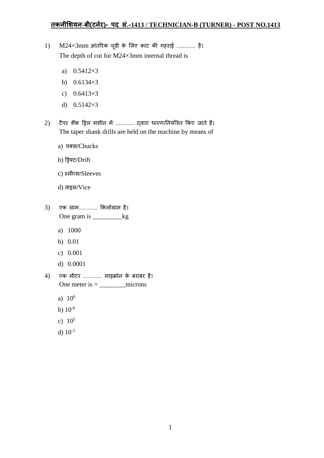## **तकनीशियन-बी(टननर)- पद सं.-1413 / TECHNICIAN-B (TURNER) - POST NO.1413**

- $1)$  M24×3mm आंतरिक चूड़ी के लिए काट की गहराई ............ है। The depth of cut for M24×3mm internal thread is
	- a) 0.5412×3
	- b) 0.6134×3
	- c) 0.6413×3
	- d) 0.5142×3
- 2) टैपर शैंक ड्रिल मशीन में ............ द्वारा धारण/नियंत्रित किए जाते हैं। The taper shank drills are held on the machine by means of
	- a) चक्स/Chucks
	- b) ड्रिफ्ट/Drift
	- c) स्लीव्स/Sleeves
	- d) वाइस/Vice
- 3) एक ग्राम............ ककिोग्राम है। One gram is \_\_\_\_\_\_\_\_\_\_\_\_kg
	- a) 1000
	- b) 0.01
	- c) 0.001
	- d) 0.0001
- $4)$  एक मीटर ............ माइक्रोन के बराबर है। One meter is = \_\_\_\_\_\_\_\_microns
	- a) 10<sup>6</sup>
	- b) 10-6
	- c)  $10^5$
	- d) 10-5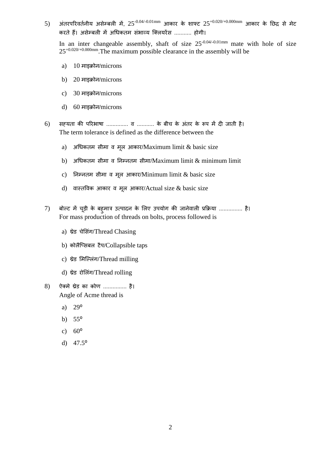5) अंतरपरिवर्तनीय असेम्बली में, 25<sup>-0.04/-0.01mm</sup> आकार के शाफ्ट 25<sup>+0.020/+0.000mm आकार के छिद्र से मेट</sup> करते हैं। असेम्बली में अधिकतम संभाव्य क्लियरेंस ........... होगी।

In an inter changeable assembly, shaft of size  $25^{-0.04/-0.01mm}$  mate with hole of size  $25^{+0.020/+0.000mm}$ . The maximum possible clearance in the assembly will be

- a) 10 माइक्रोन/microns
- b) 20 माइक्रोन/microns
- c) 30 माइक्रोन/microns
- d) 60 माइक्रोन/microns
- $6$ ) सह़यता की परिभाषा ............... व ........... के बीच के अंतर के रूप में दी जाती है। The term tolerance is defined as the difference between the
	- a) अधिकतम सीमा व मूल आकार/Maximum limit  $\&$  basic size
	- b) अधधकतम स़ीमा व ननम्नतम स़ीमा/Maximum limit & minimum limit
	- c) निम्नतम सीमा व मूल आकार/Minimum limit  $&$  basic size
	- d) वास्तविक आकार व मूल आकार/Actual size & basic size
- 7) बोल्ट में चूड़ी के बह़मात्र उत्पादन के लिए उपयोग की जानेवाली प्रक्रिया ............... है। For mass production of threads on bolts, process followed is
	- a) थ्रेड चेसिंग/Thread Chasing
	- b) कोिैक्ससबि टैप/Collapsible taps
	- c) थ्रेड लमक्ल्िंग/Thread milling
	- d) थ्रेड रोलिंग/Thread rolling
- 8) ऐक्मे थ्रेड का कोण ............... है। Angle of Acme thread is
	- a)  $29^{\circ}$
	- b)  $55^{\circ}$
	- c)  $60^{\circ}$
	- d)  $47.5^{\circ}$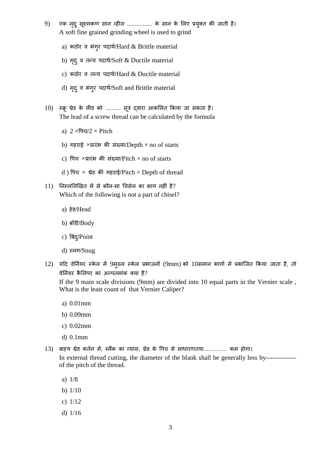- 9) एक मृदु सूक्ष्मकण सान व्हील ................ के सान के लिए प्रयुक्त की जाती है। A soft fine grained grinding wheel is used to grind
	- a) कठोर व भंगर पदार्थ/Hard & Brittle material
	- b) मृदु व तन्य पदार्थ/Soft & Ductile material
	- c) कठोर व तन्य पदार्थ/Hard & Ductile material
	- d) मृद् व भंगुर पदार्थ/Soft and Brittle material
- 10) स्क्रू थ्रेड के लीड को .......... सूत्र द्वारा आकलित किया जा सकता है। The lead of a screw thread can be calculated by the formula
	- a)  $2 \times \sqrt{q} \sqrt{q} \times$  Pitch
	- b) गहराई  $\times$ प्रारंभ की संख्या/Depth  $\times$  no of starts
	- c) पिच ×प्रारंभ की संख्या/Pitch × no of starts
	- d) पिच  $\times$  थ्रेड की गहराई/Pitch  $\times$  Depth of thread
- $11$ ) निम्नलिखित में से कौन-सा चिसेल का भाग नहीं है? Which of the following is not a part of chisel?
	- a) हेड/Head
	- b) बॉड़ी/Body
	- c) बिंद्/Point
	- d) स्नग/Snug
- $12$ ) यदि वेर्नियर स्केल में 9मुख्य स्केल प्रभाजनों (9mm) को  $10$ समान भागों में प्रभाजित किया जाता है, तो वेर्नियर कैलिपर का अल्पतमांक क्या है?

If the 9 main scale divisions (9mm) are divided into 10 equal parts in the Vernier scale , What is the least count of that Vernier Caliper?

- a) 0.01mm
- b) 0.09mm
- c) 0.02mm
- d) 0.1mm
- 13) बाह्य थ्रेड कततन में, ब्िैंक का व्यास, थ्रेड के वपच से साधािणतया............... कम होगा। In external thread cutting, the diameter of the blank shall be generally less by--------------of the pitch of the thread.
	- a) 1/8
	- b) 1/10
	- c) 1/12
	- d) 1/16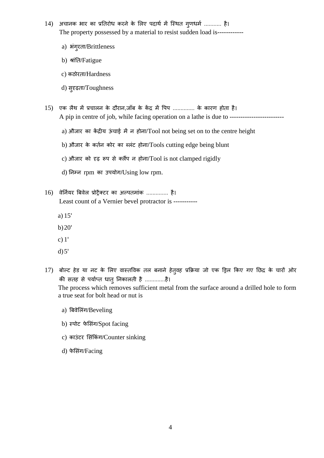- 14) अचानक भार का प्रतिरोध करने के लिए पदार्थ में स्थित गुणधर्म ........... है। The property possessed by a material to resist sudden load is-----------
	- a) भंगुरता/Brittleness
	- b) श्रांति/Fatigue
	- c) कठोिता/Hardness
	- d) सुदृढ़ता/Toughness
- 15) एक लैथ में प्रचालन के दौरान,जॉब के केंद्र में पिप .............. के कारण होता है। A pip in centre of job, while facing operation on a lathe is due to ------------------------
	- a) औजार का केंद्रीय ऊंचाई में न होना/Tool not being set on to the centre height
	- b) औजार के कर्तन कोर का ब्लंट होना/Tools cutting edge being blunt
	- c) औजार को दृढ़ रूप से क्लैंप न होना/Tool is not clamped rigidly
	- d) ननम्न rpm का उपयोग/Using low rpm.
- 16) वेर्नियर बिवेल प्रोट्रैक्टर का अल्पतमांक ............... है। Least count of a Vernier bevel protractor is ----------
	- a) 15'
	- b)20'
	- c) 1'
	- $d$ ) 5'
- 17) बोल्ट हेड या नट के लिए वास्तविक तल बनाने हेतुवह प्रक्रिया जो एक ड्रिल किए गए छिद्र के चारों ओर की सतह से पर्याप्त धातु निकालती है .............है। The process which removes sufficient metal from the surface around a drilled hole to form a true seat for bolt head or nut is
	- a) बिवेलिंग/Beveling
	- b) स्पोट फेसिंग/Spot facing
	- c) काउंटर सिंकिंग/Counter sinking
	- d) फेसिंग/Facing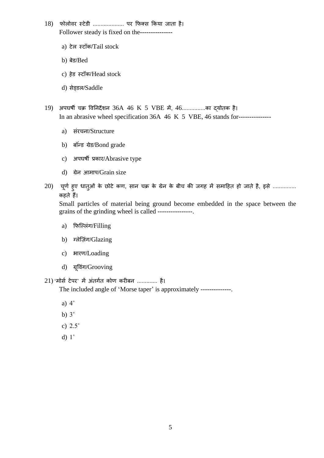- 18) फोलोवर स्टेडी ...................... पर फिक्स किया जाता है। Follower steady is fixed on the--------------
	- a) टेल स्टॉक/Tail stock
	- b) बेड/Bed
	- c) हेड स्टॉक/Head stock
	- d) सेड़डल/Saddle
- 19) अपघषी चक्र ववननदेशन 36A 46 K 5 VBE में, 46...............का द्योतक है। In an abrasive wheel specification 36A 46 K 5 VBE, 46 stands for--------------
	- a) संरचना/Structure
	- b) बॉन्डं ग्रेड/Bond grade
	- c) अपघर्षी प्रकार/Abrasive type
	- d) ग्रेन आमाप/Grain size
- $20$ ) चूर्ण हुए धात्ओं के छोटे कण, सान चक्र के ग्रेन के बीच की जगह में समाहित हो जाते है, इसे ............... कहते हैं।

Small particles of material being ground become embedded in the space between the grains of the grinding wheel is called ----------------.

- a) फिल्लिंग/Filling
- b) ग्लेज़िंग/Glazing
- c) भारण/Loading
- d) ग्रूविंग/Grooving

 $21)$  भोर्स टेपर' में अंतर्गत कोण करीबन ............. है। The included angle of 'Morse taper' is approximately ---------------

- a) 4˚
- b)  $3^\circ$
- c) 2.5˚
- d) 1˚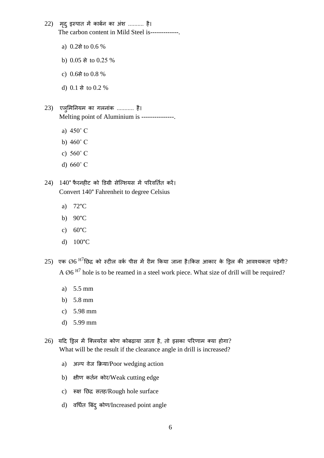- $22$ ) मृद् इस्पात में कार्बन का अंश .......... है। The carbon content in Mild Steel is-------------.
	- a)  $0.2\pi$  to  $0.6\%$
	- b) 0.05 से to 0.25 %
	- c)  $0.6\pi$  to  $0.8\%$
	- d) 0.1 से to 0.2 %
- $23)$  एल्मिनियम का गलनांक ........... है। Melting point of Aluminium is ---------------.
	- a) 450˚ C
	- b)  $460^\circ$  C
	- c) 560˚ C
	- d) 660˚ C
- $24$ )  $140^{\circ}$  फैरनहीट को डिग्री सेल्शियस में परिवर्तित करें। Convert 140° Fahrenheit to degree Celsius
	- a) 72°C
	- b) 90°C
	- c) 60°C
	- d) 100°C
- $25)$  एक  $\mathcal{O}6$   $^{ {\rm H}7}$ छिद्र को स्टील वर्क पीस में रीम किया जाना है।किस आकार के ड्रिल की आवश्यकता पड़ेगी? A  $\emptyset$ 6<sup>H7</sup> hole is to be reamed in a steel work piece. What size of drill will be required?
	- a) 5.5 mm
	- b) 5.8 mm
	- c) 5.98 mm
	- d) 5.99 mm
- $26$ ) यदि ड्रिल में क्लियरेंस कोण कोबढ़ाया जाता है, तो इसका परिणाम क्या होगा? What will be the result if the clearance angle in drill is increased?
	- a) अल्प वेज कक्रया/Poor wedging action
	- b) क्षीण कर्तन कोर/Weak cutting edge
	- c) रूक्ष निद्र सतह/Rough hole surface
	- d) वर्धित बिंद् कोण/Increased point angle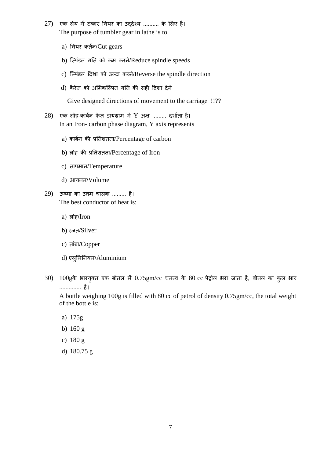- $27)$  एक लेथ में टंब्लर गियर का उद्देश्य .......... के लिए है। The purpose of tumbler gear in lathe is to
	- a) धगयि कततन/Cut gears
	- b) स्पिंडल गति को कम करने/Reduce spindle speeds
	- c) स्पिंडल दिशा को उल्टा करने/Reverse the spindle direction
	- d) कैरेज को अभिकल्पित गति की सही दिशा देने
		- Give designed directions of movement to the carriage !!??
- 28) एक लोह-कार्बन फेज़ डायग्राम में Y अक्ष ......... दर्शाता है। In an Iron- carbon phase diagram, Y axis represents
	- a) काबतन की प्रनतशतता/Percentage of carbon
	- b) लोह की प्रतिशतता/Percentage of Iron
	- c) तापमान/Temperature
	- d) आयतन/Volume
- $29$ ) ऊष्मा का उत्तम चालक ......... है। The best conductor of heat is:
	- a) िोह/Iron
	- b) रजत/Silver
	- c) तांबा/Copper
	- d) एल्मिनियम/Aluminium
- $30$ )  $100$ gके भारयुक्त एक बोतल में  $0.75$ gm/cc घनत्व के  $80$  cc पेट्रोल भरा जाता है, बोतल का कुल भार .............. है।

A bottle weighing 100g is filled with 80 cc of petrol of density 0.75gm/cc, the total weight of the bottle is:

- a) 175g
- b) 160 g
- c) 180 g
- d) 180.75 g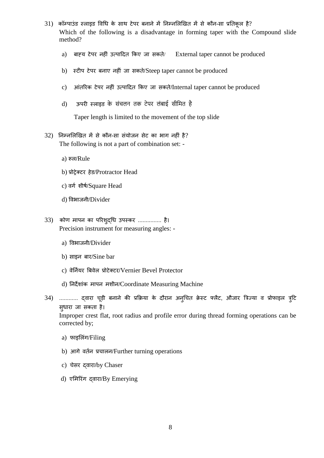- $31$ ) कॉम्पाउंड स्लाइड विधि के साथ टेपर बनाने में निम्नलिखित में से कौन-सा प्रतिकृल है? Which of the following is a disadvantage in forming taper with the Compound slide method?
	- a) बाह्य टेपर नहीं उत्पादित किए जा सकते/ External taper cannot be produced
	- b) स्टीप टेपर बनाए नहीं जा सकते/Steep taper cannot be produced
	- c) आंतरिक टेपर नहीं उत्पादित किए जा सकते/Internal taper cannot be produced
	- d) जयरी स्लाइड के संचलन तक टेपर लंबाई सीमित है

Taper length is limited to the movement of the top slide

- 32) ननम्नलिखित में से कौन-सा संयोजन सेट का भाग नहीं है? The following is not a part of combination set:
	- a) रूल/Rule
	- b) प्रोट्रेक्टि हेड/Protractor Head
	- c) वर्गशीर्ष/Square Head
	- d) ववभाजऩी/Divider
- 33) कोण मापन का परिशुद्धध उपस्कि ............... है। Precision instrument for measuring angles:
	- a) ववभाजऩी/Divider
	- b) साइन बार/Sine bar
	- c) वेर्नियर बिवेल प्रोटेक्टर/Vernier Bevel Protector
	- d) ननदेशांक मापन मश़ीन/Coordinate Measuring Machine
- 34) ............. दवारा चूड़ी बनाने की प्रक्रिया के दौरान अनुचित क्रेस्ट फ्लैट, औजार त्रिज्या व प्रोफाइल त्र्टि सुधारा जा सकता है।

Improper crest flat, root radius and profile error during thread forming operations can be corrected by;

- a) फाइलिंग/Filing
- b) आगे वर्तन प्रचालन/Further turning operations
- c) चेसर दवारा/by Chaser
- d) एमिरिंग दवारा/By Emerying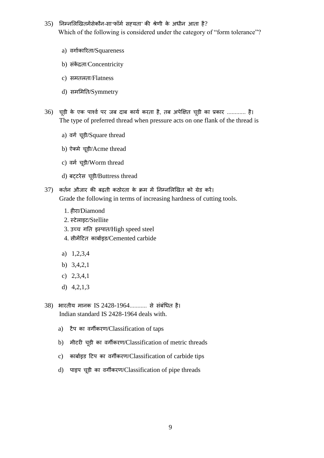- $35$ ) निम्नलिखितमेंसेकौन-सा'फॉर्म सह़यता' की श्रेणी के अधीन आता है? Which of the following is considered under the category of "form tolerance"?
	- a) वगातकारिता/Squareness
	- b) संकें द्रता/Concentricity
	- c) समतिता/Flatness
	- d) समलमनत/Symmetry
- $36$ ) चूड़ी के एक पार्श्व पर जब दाब कार्य करता है, तब अपेक्षित चूड़ी का प्रकार ............ है। The type of preferred thread when pressure acts on one flank of the thread is
	- a) वर्ग चूड़ी/Square thread
	- b) ऐक्मे चूड़ी/Acme thread
	- c) वर्म चूड़ी/Worm thread
	- d) बट्टिेस चूड़ी/Buttress thread
- 37) कततन औजाि की बढ़त़ी कठोिता के क्रम में ननम्नलिखित को ग्रेड किें। Grade the following in terms of increasing hardness of cutting tools.
	- 1. हीरा/Diamond
	- 2. स्टेलाइट/Stellite
	- 3. उच्च गनत इस्पात/High speed steel
	- 4. स़ीमेंदटत काबातइड/Cemented carbide
	- a) 1,2,3,4
	- b) 3,4,2,1
	- c) 2,3,4,1
	- d) 4,2,1,3
- 38) भारतीय मानक IS 2428-1964........... से संबंधित है। Indian standard IS 2428-1964 deals with.
	- a) टैप का वगीकिण/Classification of taps
	- b) म़ीटिी चूड़ी का वगीकिण/Classification of metric threads
	- c) काबातइड दटप का वगीकिण/Classification of carbide tips
	- d) पाइप चूड़ी का वगीकिण/Classification of pipe threads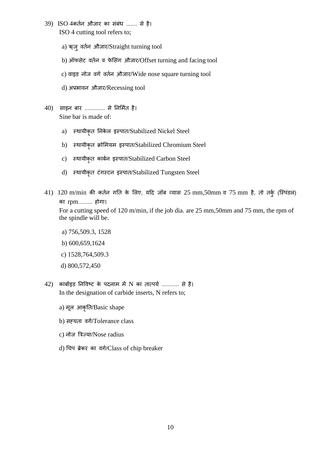- 39) ISO 4कर्तन औजार का संबंध ....... से है। ISO 4 cutting tool refers to;
	- a) ऋजुवर्तन औजार/Straight turning tool
	- b) ऑफसेट वर्तन व फेसिंग औजार/Offset turning and facing tool
	- c) वाइड नोज वर्ग वर्तन औजार/Wide nose square turning tool
	- d) अप्रभावन औजार/Recessing tool
- $(40)$  साइन बार ............. से निर्मित है। Sine bar is made of:
	- a) स्थायीकृत निकेल इस्पात/Stabilized Nickel Steel
	- b) स्थायीकृत क्रोमियम इस्पात/Stabilized Chromium Steel
	- c) स्थायीकृत कार्बन इस्पात/Stabilized Carbon Steel
	- d) स्र्ाय़ीकृत टंगस्टन इस्पात/Stabilized Tungsten Steel
- $41)$   $120$  m/min की कर्तन गति के लिए, यदि जॉब व्यास  $25$  mm,50mm व  $75$  mm है, तो तर्कु (स्पिंडल) का rpm......... होगा। For a cutting speed of 120 m/min, if the job dia. are 25 mm, 50mm and 75 mm, the rpm of the spindle will be.
	- a) 756,509.3, 1528
	- b) 600,659,1624
	- c) 1528,764,509.3
	- d) 800,572,450
- $42$ ) कार्बाइड निविष्ट के पदनाम में N का तात्पर्य ........... से है। In the designation of carbide inserts, N refers to;
	- a) मूल आकृति/Basic shape
	- b) सह़यता वर्ग/Tolerance class
	- c) नोज त्रिज्या/Nose radius
	- d) चिप ब्रेकर का वर्ग/Class of chip breaker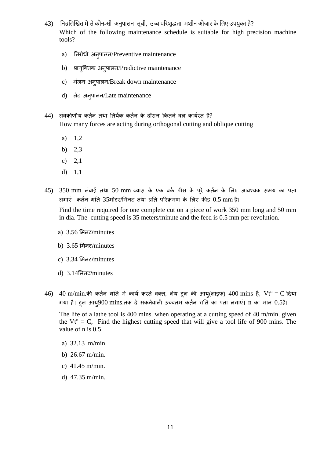- 43) निम्नलिखित में से कौन-सी अनुपालन सूची, उच्च परिशुद्धता मशीन औजार के लिए उपयुक्त है? Which of the following maintenance schedule is suitable for high precision machine tools?
	- a) निरोधी अनुपालन/Preventive maintenance
	- b) प्रागुक्तिक अनुपालन/Predictive maintenance
	- c) भंजन अनुपालन/Break down maintenance
	- d) लेट अनुपालन/Late maintenance
- $44$ ) लंबकोणीय कर्तन तथा तिर्यक कर्तन के दौरान कितने बल कार्यरत हैं? How many forces are acting during orthogonal cutting and oblique cutting
	- a) 1,2
	- b) 2,3
	- c) 2,1
	- d) 1,1
- $45)$   $350$  mm लंबाई तथा  $50$  mm व्यास के एक वर्क पीस के पूरे कर्तन के लिए आवश्यक समय का पता िगाएं। कततन गनत 35म़ीटि/लमनट तर्ा प्रनत परिक्रमण के लिए फीड 0.5 mm है।

Find the time required for one complete cut on a piece of work 350 mm long and 50 mm in dia. The cutting speed is 35 meters/minute and the feed is 0.5 mm per revolution.

- a) 3.56 लमनट/minutes
- b) 3.65 लमनट/minutes
- c) 3.34 लमनट/minutes
- d) 3.14लमनट/minutes
- 46) 40 m/min.की कर्तन गति में कार्य करते वक्त, लेथ टूल की आयु(लाइफ) 400 mins है, Vt<sup>n</sup> = C दिया गया है। ट्रल आयू $900$  mins.तक दे सकनेवाली उच्चतम कर्तन गति का पता लगाएं। n का मान  $0.5$ है।

The life of a lathe tool is 400 mins. when operating at a cutting speed of 40 m/min. given the  $Vt^n = C$ , Find the highest cutting speed that will give a tool life of 900 mins. The value of n is 0.5

- a) 32.13 m/min.
- b) 26.67 m/min.
- c) 41.45 m/min.
- d) 47.35 m/min.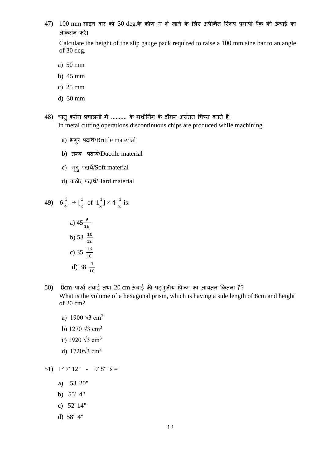$47)$   $100$  mm साइन बार को  $30$  deg.के कोण में ले जाने के लिए अपेक्षित स्लिप प्रमापी पैक की ऊंचाई का आकिन किें।

Calculate the height of the slip gauge pack required to raise a 100 mm sine bar to an angle of 30 deg.

a) 50 mm

- b) 45 mm
- c) 25 mm
- d) 30 mm

48) धातु कर्तन प्रचालनों में .......... के मशीनिंग के दौरान असंतत चिप्स बनते हैं। In metal cutting operations discontinuous chips are produced while machining

- a) भंगुर पदार्थ/Brittle material
- b) तन्य पदार्थ/Ductile material
- c) मृद् पदार्थ/Soft material
- d) कठोर पदार्थ/Hard material

49) 
$$
6\frac{3}{4} \div \left[\frac{1}{2} \text{ of } 1\frac{1}{3}\right] \times 4\frac{1}{2} \text{ is:}
$$
  
\na)  $45\frac{9}{16}$   
\nb)  $53\frac{10}{12}$   
\nc)  $35\frac{16}{10}$   
\nd)  $38\frac{3}{10}$ 

- $50$ ) 8cm पार्श्व लंबाई तथा 20 cm ऊंचाई की षट्भुजीय प्रिज़्म का आयतन कितना है? What is the volume of a hexagonal prism, which is having a side length of 8cm and height of 20 cm?
	- a) 1900  $\sqrt{3}$  cm<sup>3</sup>
	- b)  $1270 \sqrt{3}$  cm<sup>3</sup>
	- c) 1920 √3 cm<sup>3</sup>
	- d)  $1720\sqrt{3}$  cm<sup>3</sup>

51)  $1^{\circ}$  7' 12" - 9' 8" is =

- a) 53' 20"
- b) 55' 4"
- c) 52' 14"
- d) 58' 4"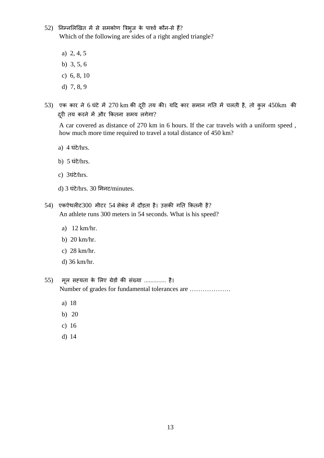- 52) निम्नलिखित में से समकोण त्रिभुज के पार्श्व कौन-से हैं? Which of the following are sides of a right angled triangle?
	- a) 2, 4, 5
	- b) 3, 5, 6
	- c) 6, 8, 10
	- d) 7, 8, 9
- 53) एक कार ने 6 घंटे में 270 km की दूरी तय की। यदि कार समान गति में चलती है, तो कुल 450km की दूरी तय करने में और कितना समय लगेगा?

A car covered as distance of 270 km in 6 hours. If the car travels with a uniform speed , how much more time required to travel a total distance of 450 km?

- a) 4 घंटे/hrs.
- b) 5 घंटे/hrs.
- c) 3घंटे/hrs.
- d) 3 घंटे/hrs. 30 लमनट/minutes.
- 54) एकऐथलीट300 मीटर 54 सेकंड में दौड़ता है। उसकी गति कितनी है? An athlete runs 300 meters in 54 seconds. What is his speed?
	- a) 12 km/hr.
	- b) 20 km/hr.
	- c) 28 km/hr.
	- d) 36 km/hr.

55) मूि सह्यता के लिए ग्रेडों की संख्या .............. है। Number of grades for fundamental tolerances are ……………….

- a) 18
- b) 20
- c) 16
- d) 14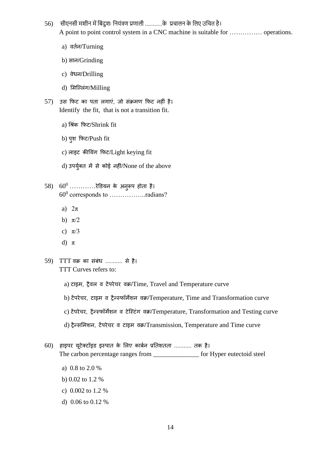- 56) सीएनसी मशीन में बिंदुशः नियंत्रण प्रणाली ...........के प्रचालन के लिए उचित है। A point to point control system in a CNC machine is suitable for …………… operations.
	- a) वततन/Turning
	- b) सान/Grinding
	- c) वेधन/Drilling
	- d) मिल्लिंग/Milling
- 57) उस फिट का पता लगाएं, जो संक्रमण फिट नहीं है। Identify the fit, that is not a transition fit.
	- a) धश्ंक कफट/Shrink fit
	- b) पुश कफट/Push fit
	- c) लाइट कीयिंग फिट/Light keying fit
	- d) उपर्युक्त में से कोई नहीं/None of the above
- $58$ )  $60^0$  .............रेडियन के अनुरूप होता है। 60<sup>0</sup> corresponds to ....................radians?
	- a)  $2\pi$
	- b)  $\pi/2$
	- c)  $\pi/3$
	- d) π
- 59) TTT वक्र का संबंध ........... से है। TTT Curves refers to:
	- a) टाइम, ट्रैवल व टेंपरेचर वक्र/Time, Travel and Temperature curve
	- b) टेंपिेचि, टाइम व ट्रैन्स्फॉमेशन वक्र/Temperature, Time and Transformation curve
	- c) टेंपरेचर, ट्रैन्स्फॉर्मेशन व टेस्टिंग वक्र/Temperature, Transformation and Testing curve
	- d) ट्रैन्समिशन, टेंपरेचर व टाइम वक्र/Transmission, Temperature and Time curve
- 60) हाइपर यूटेक्टॉइड इस्पात के लिए कार्बन प्रतिशतता ........... तक है। The carbon percentage ranges from  $\Box$  for Hyper eutectoid steel
	- a) 0.8 to 2.0 %
	- b) 0.02 to 1.2 %
	- c) 0.002 to 1.2 %
	- d) 0.06 to 0.12 %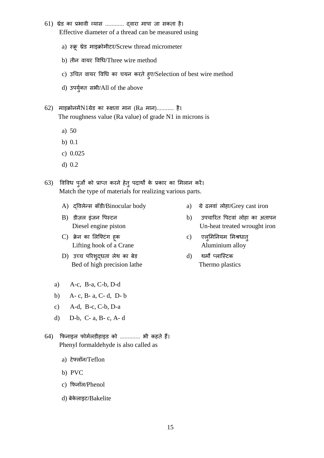- $61)$  थ्रेड का प्रभावी व्यास ............ द्वारा मापा जा सकता है। Effective diameter of a thread can be measured using
	- a) स्क्रू थ्रेड माइक्रोमीटर/Screw thread micrometer
	- b) तीन वायर विधि/Three wire method
	- c) उचित वायर विधि का चयन करते हुए/Selection of best wire method
	- d) उपयुक्त त सभ़ी/All of the above
- 62) माइक्रोनमेंN1ग्रेड का रूक्षता मान (Ra मान)........... है। The roughness value (Ra value) of grade N1 in microns is
	- a) 50
	- b) 0.1
	- c) 0.025
	- d) 0.2
- 63) विविध पूर्जों को प्राप्त करने हेतु पदार्थों के प्रकार का मिलान करें। Match the type of materials for realizing various parts.
	- A) दविलेन्स बॉडी/Binocular body a) ग्रे ढलवां लोहा/Grey cast iron
	-
	- C) क्रेन का लिफ्टिंग हूक c) एल्**मिनियम मिश्रधात्** Lifting hook of a Crane Aluminium alloy
	- D) उच्च परिशुद्धता लेथ का बेड d) थर्मो प्लास्टिक Bed of high precision lathe Thermo plastics
	- a) A-c, B-a, C-b, D-d
	- b) A- c, B- a, C- d, D- b
	- c) A-d, B-c, C-b, D-a
	- d) D-b, C- a, B- c, A- d
- 64) कफनाइि फोमतिड़ीहाइड को ............. भ़ी कहते हैं। Phenyl formaldehyde is also called as
	- a) टेफ्लॉन/Teflon
	- b) PVC
	- c) फिनॉल/Phenol
	- d) बेकेलाइट/Bakelite
- 
- B) डीजल इंजन पिस्टन  $\qquad \qquad$  b) उपचारित पिटवां लोहा का अतापन Diesel engine piston Un-heat treated wrought iron
	-
	-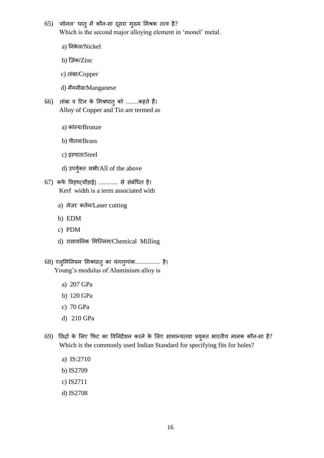- 65) 'मोनल' धात् में कौन-सा दूसरा मुख्य मिश्रक तत्व है? Which is the second major alloying element in 'monel' metal.
	- a) निकेल/Nickel
	- b) ज़िंक/Zinc
	- c) तांबा/Copper
	- d) मैंगनीस/Manganese
- 66) तांबा व दटन के लमश्धातुको ........कहते हैं। Alloy of Copper and Tin are termed as
	- a) कांस्य/Bronze
	- b) प़ीति/Brass
	- c) इस्पात/Steel
	- d) उपयुक्त त सभ़ी/All of the above
- $67$ ) कर्फ विड्थ(चौड़ाई) ............ से संबंधित है। Kerf width is a term associated with
	- a) लेज़र कर्तन/Laser cutting
	- b) EDM
	- c) PDM
	- d) रासायनिक मिल्लिंग/Chemical Milling
- 68) एलुमिनियम मिश्रधातु का यंगगुणांक................ है। Young's modulus of Aluminium alloy is
	- a) 207 GPa
	- b) 120 GPa
	- c) 70 GPa
	- d) 210 GPa
- $69$ ) छिद्रों के लिए फिट का विनिर्देशन करने के लिए सामान्यतया प्रयुक्त भारतीय मानक कौन-सा है? Which is the commonly used Indian Standard for specifying fits for holes?
	- a) IS:2710
	- b) IS2709
	- c) IS2711
	- d) IS2708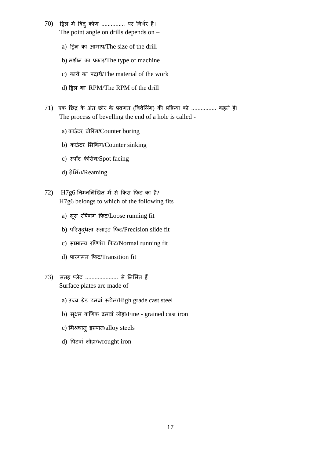- 70) ड्रिल में बिंदु कोण ............... पर निर्भर है। The point angle on drills depends on –
	- a) ड्रिल का आमाप/The size of the drill
	- b) मशीन का प्रकार/The type of machine
	- c) कार्य का पदार्थ/The material of the work
	- d) ड्रिल का RPM/The RPM of the drill
- 71) एक छिद्र के अंत छोर के प्रवणन (बिवेलिंग) की प्रक्रिया को ................ कहते हैं। The process of bevelling the end of a hole is called
	- a) काउंटर बोरिंग/Counter boring
	- b) काउंटर सिंकिंग/Counter sinking
	- c) स्पॉट फेसिंग/Spot facing
	- d) रीमिंग/Reaming
- $72)$  H7g6 निम्नलिखित में से किस फिट का है? H7g6 belongs to which of the following fits
	- a) लूस रण्णिंग फिट/Loose running fit
	- b) परिशुद्धता स्लाइड फिट/Precision slide fit
	- c) सामान्य रण्णिंग फिट/Normal running fit
	- d) पारगमन फिट/Transition fit
- 73) सतह सिेट ..................... से ननलमतत हैं। Surface plates are made of
	- a) उच्च ग्रेड ढलवां स्टील/High grade cast steel
	- b) सूक्ष्म कणिक ढलवां लोहा/Fine grained cast iron
	- c) मिश्रधात् इस्पात/alloy steels
	- d) पिटवां लोहा/wrought iron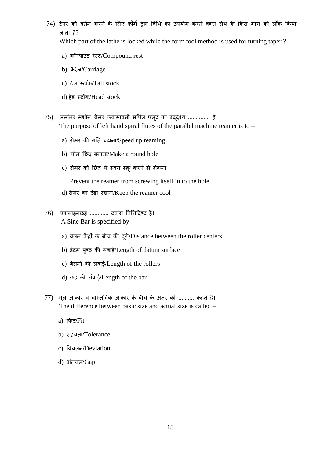74) टेपर को वर्तन करने के लिए फॉर्म ट्रल विधि का उपयोग करते वक्त लेथ के किस भाग को लॉक किया जाता है?

Which part of the lathe is locked while the form tool method is used for turning taper ?

- a) कॉम्पाउंड रेस्ट/Compound rest
- b) कैरेज/Carriage
- c) टेल स्टॉक/Tail stock
- d) हेड स्टॉक/Head stock
- 75) समांति मश़ीन िीमि केवामावती सवपित फ्िूट का उद्देश्य .............. है। The purpose of left hand spiral flutes of the parallel machine reamer is to –
	- a) रीमर की गति बढ़ाना/Speed up reaming
	- b) गोल छिद्र बनाना/Make a round hole
	- c) रीमर को छिद्र में स्वयं स्क्रू करने से रोकना

Prevent the reamer from screwing itself in to the hole

- d) रीमर को ठंड़ा रखना/Keep the reamer cool
- 76) एकसाइनछड़ ............ दवारा विनिर्दिष्ट है। A Sine Bar is specified by
	- a) बेलन केंद्रों के बीच की दूरी/Distance between the roller centers
	- b) डेटम पृष्ठ की लंबाई/Length of datum surface
	- c) बेलनों की लंबाई/Length of the rollers
	- d) छड़ की लंबाई/Length of the bar
- 77) मूल आकार व वास्तविक आकार के बीच के अंतर को .......... कहते हैं। The difference between basic size and actual size is called –
	- a) कफट/Fit
	- b) सह्यता/Tolerance
	- c) ववचिन/Deviation
	- d) अंतराल/Gap